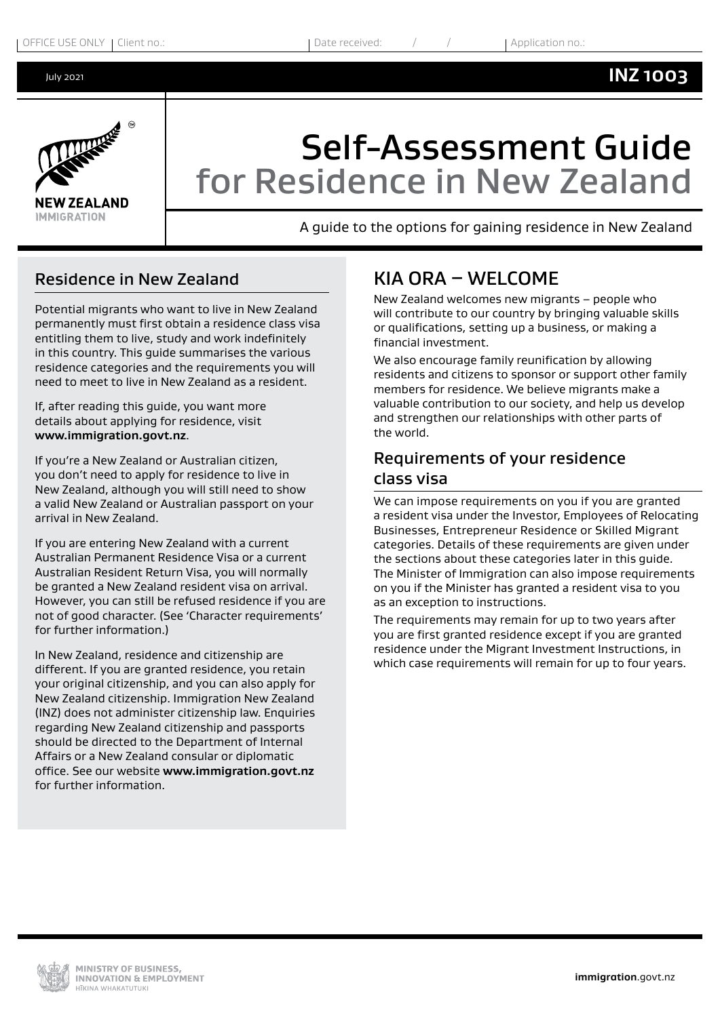<span id="page-0-0"></span>July 2021



# Self-Assessment Guide for Residence in New Zealand

A guide to the options for gaining residence in New Zealand

# Residence in New Zealand

Potential migrants who want to live in New Zealand permanently must first obtain a residence class visa entitling them to live, study and work indefinitely in this country. This guide summarises the various residence categories and the requirements you will need to meet to live in New Zealand as a resident.

If, after reading this guide, you want more details about applying for residence, visit **www.immigration.govt.nz**.

If you're a New Zealand or Australian citizen, you don't need to apply for residence to live in New Zealand, although you will still need to show a valid New Zealand or Australian passport on your arrival in New Zealand.

If you are entering New Zealand with a current Australian Permanent Residence Visa or a current Australian Resident Return Visa, you will normally be granted a New Zealand resident visa on arrival. However, you can still be refused residence if you are not of good character. (See 'Character requirements' for further information.)

In New Zealand, residence and citizenship are different. If you are granted residence, you retain your original citizenship, and you can also apply for New Zealand citizenship. Immigration New Zealand (INZ) does not administer citizenship law. Enquiries regarding New Zealand citizenship and passports should be directed to the Department of Internal Affairs or a New Zealand consular or diplomatic office. See our website **[www.immigration.govt.nz](https://www.immigration.govt.nzwww.immigration.govt.nz)** for further information.

# KIA ORA – WELCOME

New Zealand welcomes new migrants – people who will contribute to our country by bringing valuable skills or qualifications, setting up a business, or making a financial investment.

We also encourage family reunification by allowing residents and citizens to sponsor or support other family members for residence. We believe migrants make a valuable contribution to our society, and help us develop and strengthen our relationships with other parts of the world.

# Requirements of your residence class visa

We can impose requirements on you if you are granted a resident visa under the Investor, Employees of Relocating Businesses, Entrepreneur Residence or Skilled Migrant categories. Details of these requirements are given under the sections about these categories later in this guide. The Minister of Immigration can also impose requirements on you if the Minister has granted a resident visa to you as an exception to instructions.

The requirements may remain for up to two years after you are first granted residence except if you are granted residence under the Migrant Investment Instructions, in which case requirements will remain for up to four years.

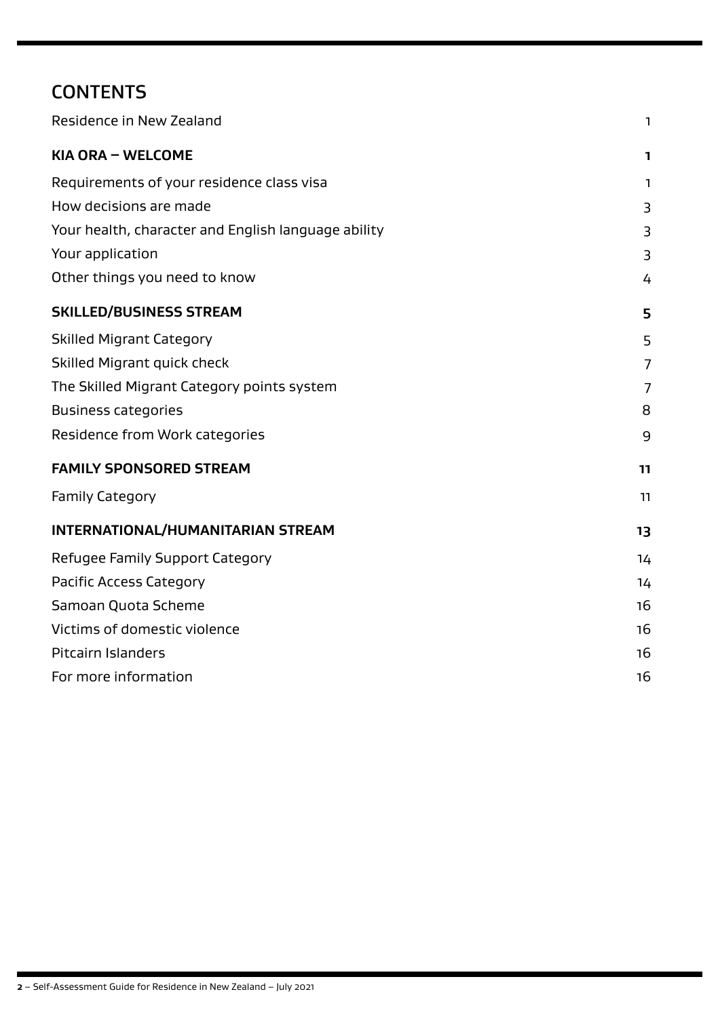# **CONTENTS**

| Residence in New Zealand                            | 1              |
|-----------------------------------------------------|----------------|
| KIA ORA - WELCOME                                   | 1.             |
| Requirements of your residence class visa           | 1.             |
| How decisions are made                              | 3              |
| Your health, character and English language ability | 3              |
| Your application                                    | 3              |
| Other things you need to know                       | 4              |
| <b>SKILLED/BUSINESS STREAM</b>                      | 5              |
| <b>Skilled Migrant Category</b>                     | 5              |
| Skilled Migrant quick check                         | 7              |
| The Skilled Migrant Category points system          | $\overline{7}$ |
| <b>Business categories</b>                          | 8              |
| Residence from Work categories                      | 9              |
| <b>FAMILY SPONSORED STREAM</b>                      | 11             |
| <b>Family Category</b>                              | 11             |
| <b>INTERNATIONAL/HUMANITARIAN STREAM</b>            | 13             |
| Refugee Family Support Category                     | 14             |
| <b>Pacific Access Category</b>                      | 14             |
| Samoan Quota Scheme                                 | 16             |
| Victims of domestic violence                        | 16             |
| <b>Pitcairn Islanders</b>                           | 16             |
| For more information                                | 16             |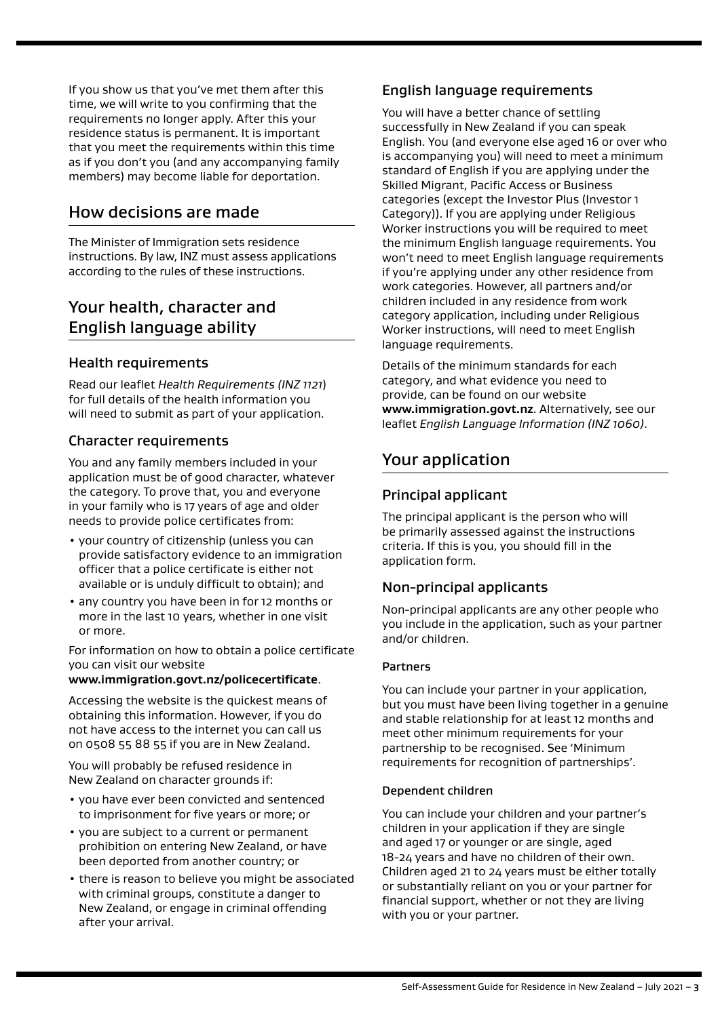<span id="page-2-0"></span>If you show us that you've met them after this time, we will write to you confirming that the requirements no longer apply. After this your residence status is permanent. It is important that you meet the requirements within this time as if you don't you (and any accompanying family members) may become liable for deportation.

### How decisions are made

The Minister of Immigration sets residence instructions. By law, INZ must assess applications according to the rules of these instructions.

# Your health, character and English language ability

### Health requirements

Read our leaflet *Health Requirements (INZ 1121*) for full details of the health information you will need to submit as part of your application.

### Character requirements

You and any family members included in your application must be of good character, whatever the category. To prove that, you and everyone in your family who is 17 years of age and older needs to provide police certificates from:

- your country of citizenship (unless you can provide satisfactory evidence to an immigration officer that a police certificate is either not available or is unduly difficult to obtain); and
- any country you have been in for 12 months or more in the last 10 years, whether in one visit or more.

For information on how to obtain a police certificate you can visit our website

#### **[www.immigration.govt.nz/policecertificate](https://www.immigration.govt.nzwww.immigration.govt.nz/policecertificate)**.

Accessing the website is the quickest means of obtaining this information. However, if you do not have access to the internet you can call us on 0508 55 88 55 if you are in New Zealand.

You will probably be refused residence in New Zealand on character grounds if:

- you have ever been convicted and sentenced to imprisonment for five years or more; or
- you are subject to a current or permanent prohibition on entering New Zealand, or have been deported from another country; or
- there is reason to believe you might be associated with criminal groups, constitute a danger to New Zealand, or engage in criminal offending after your arrival.

### English language requirements

You will have a better chance of settling successfully in New Zealand if you can speak English. You (and everyone else aged 16 or over who is accompanying you) will need to meet a minimum standard of English if you are applying under the Skilled Migrant, Pacific Access or Business categories (except the Investor Plus (Investor 1 Category)). If you are applying under Religious Worker instructions you will be required to meet the minimum English language requirements. You won't need to meet English language requirements if you're applying under any other residence from work categories. However, all partners and/or children included in any residence from work category application, including under Religious Worker instructions, will need to meet English language requirements.

Details of the minimum standards for each category, and what evidence you need to provide, can be found on our website **[www.immigration.govt.nz](https://www.immigration.govt.nzwww.immigration.govt.nz)**. Alternatively, see our leaflet *English Language Information (INZ 1060)*.

# Your application

### Principal applicant

The principal applicant is the person who will be primarily assessed against the instructions criteria. If this is you, you should fill in the application form.

### Non-principal applicants

Non-principal applicants are any other people who you include in the application, such as your partner and/or children.

#### **Partners**

You can include your partner in your application, but you must have been living together in a genuine and stable relationship for at least 12 months and meet other minimum requirements for your partnership to be recognised. See 'Minimum requirements for recognition of partnerships'.

#### Dependent children

You can include your children and your partner's children in your application if they are single and aged 17 or younger or are single, aged 18-24 years and have no children of their own. Children aged 21 to 24 years must be either totally or substantially reliant on you or your partner for financial support, whether or not they are living with you or your partner.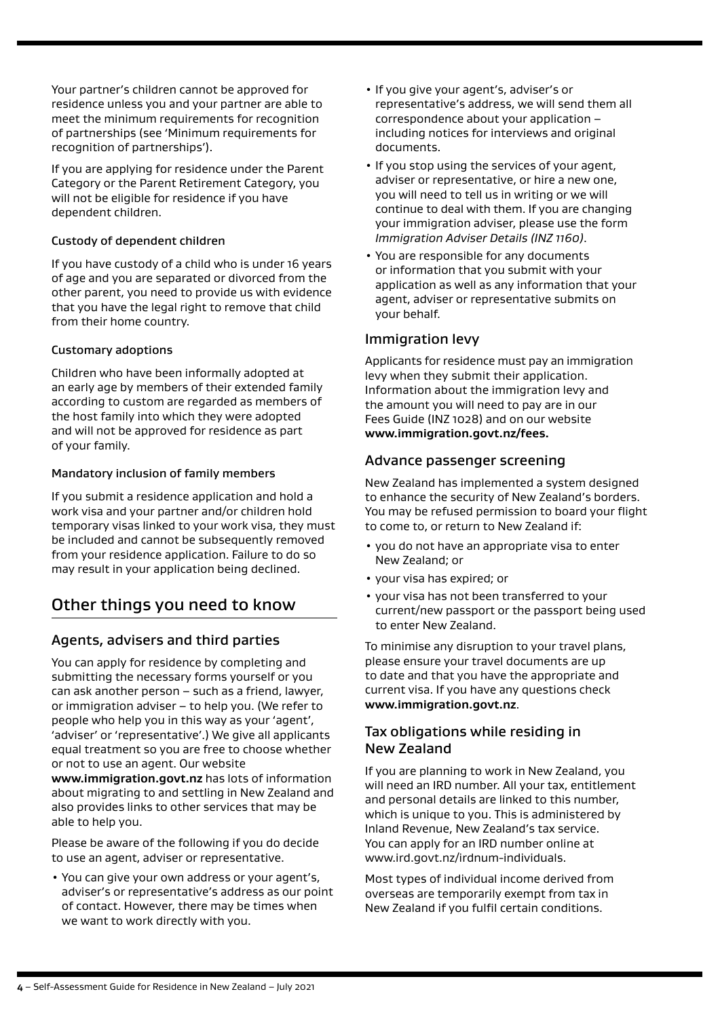<span id="page-3-0"></span>Your partner's children cannot be approved for residence unless you and your partner are able to meet the minimum requirements for recognition of partnerships (see 'Minimum requirements for recognition of partnerships').

If you are applying for residence under the Parent Category or the Parent Retirement Category, you will not be eligible for residence if you have dependent children.

#### Custody of dependent children

If you have custody of a child who is under 16 years of age and you are separated or divorced from the other parent, you need to provide us with evidence that you have the legal right to remove that child from their home country.

#### Customary adoptions

Children who have been informally adopted at an early age by members of their extended family according to custom are regarded as members of the host family into which they were adopted and will not be approved for residence as part of your family.

#### Mandatory inclusion of family members

If you submit a residence application and hold a work visa and your partner and/or children hold temporary visas linked to your work visa, they must be included and cannot be subsequently removed from your residence application. Failure to do so may result in your application being declined.

# Other things you need to know

### Agents, advisers and third parties

You can apply for residence by completing and submitting the necessary forms yourself or you can ask another person – such as a friend, lawyer, or immigration adviser – to help you. (We refer to people who help you in this way as your 'agent', 'adviser' or 'representative'.) We give all applicants equal treatment so you are free to choose whether or not to use an agent. Our website **[www.immigration.govt.nz](https://www.immigration.govt.nzwww.immigration.govt.nz)** has lots of information about migrating to and settling in New Zealand and also provides links to other services that may be able to help you.

Please be aware of the following if you do decide to use an agent, adviser or representative.

• You can give your own address or your agent's, adviser's or representative's address as our point of contact. However, there may be times when we want to work directly with you.

- If you give your agent's, adviser's or representative's address, we will send them all correspondence about your application – including notices for interviews and original documents.
- If you stop using the services of your agent, adviser or representative, or hire a new one, you will need to tell us in writing or we will continue to deal with them. If you are changing your immigration adviser, please use the form *Immigration Adviser Details (INZ 1160)*.
- You are responsible for any documents or information that you submit with your application as well as any information that your agent, adviser or representative submits on your behalf.

### Immigration levy

Applicants for residence must pay an immigration levy when they submit their application. Information about the immigration levy and the amount you will need to pay are in our Fees Guide (INZ 1028) and on our website **www.immigration.govt.nz/fees.**

### Advance passenger screening

New Zealand has implemented a system designed to enhance the security of New Zealand's borders. You may be refused permission to board your flight to come to, or return to New Zealand if:

- you do not have an appropriate visa to enter New Zealand; or
- your visa has expired; or
- your visa has not been transferred to your current/new passport or the passport being used to enter New Zealand.

To minimise any disruption to your travel plans, please ensure your travel documents are up to date and that you have the appropriate and current visa. If you have any questions check **[www.immigration.govt.nz](https://www.immigration.govt.nzwww.immigration.govt.nz)**.

### Tax obligations while residing in New Zealand

If you are planning to work in New Zealand, you will need an IRD number. All your tax, entitlement and personal details are linked to this number, which is unique to you. This is administered by Inland Revenue, New Zealand's tax service. You can apply for an IRD number online at www.ird.govt.nz/irdnum-individuals.

Most types of individual income derived from overseas are temporarily exempt from tax in New Zealand if you fulfil certain conditions.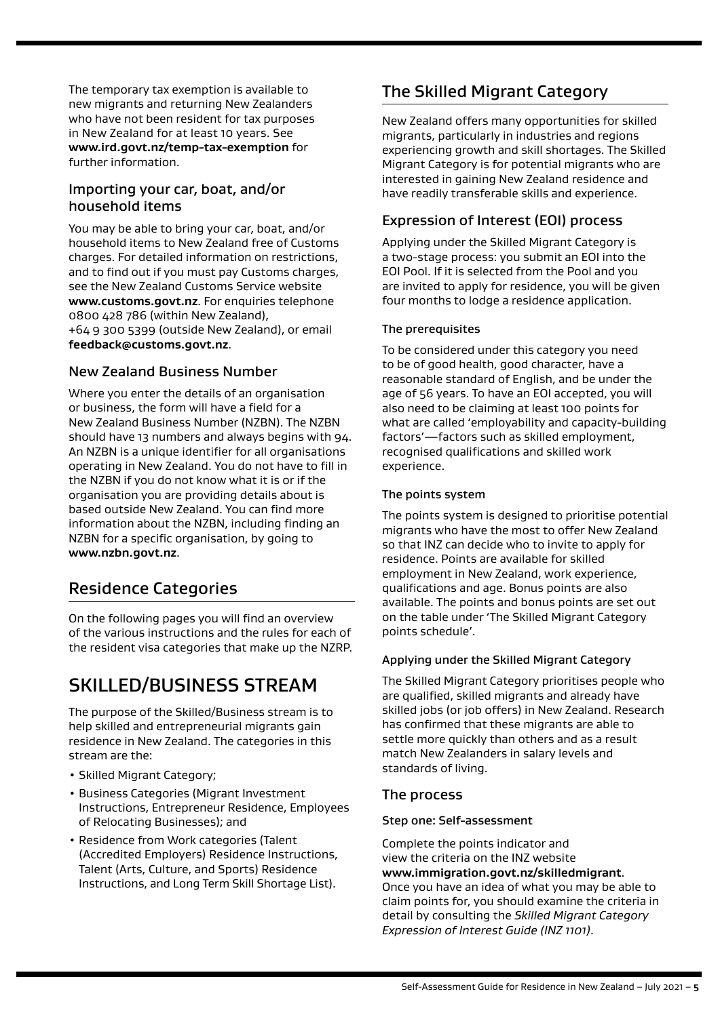The temporary tax exemption is available to new migrants and returning New Zealanders who have not been resident for tax purposes in New Zealand for at least 10 years. See **www.ird.govt.nz/temp-tax-exemption** for further information.

### Importing your car, boat, and/or household items

You may be able to bring your car, boat, and/or household items to New Zealand free of Customs charges. For detailed information on restrictions, and to find out if you must pay Customs charges, see the New Zealand Customs Service website **[www.customs.govt.nz](https://www.immigration.govt.nzwww.customs.govt.nz)**. For enquiries telephone 0800 428 786 (within New Zealand), +64 9 300 5399 (outside New Zealand), or email **[feedback@customs.govt.nz](mailto:feedback@customs.govt.nz)**.

### New Zealand Business Number

Where you enter the details of an organisation or business, the form will have a field for a New Zealand Business Number (NZBN). The NZBN should have 13 numbers and always begins with 94. An NZBN is a unique identifier for all organisations operating in New Zealand. You do not have to fill in the NZBN if you do not know what it is or if the organisation you are providing details about is based outside New Zealand. You can find more information about the NZBN, including finding an NZBN for a specific organisation, by going to **www.nzbn.govt.nz**.

### Residence Categories

On the following pages you will find an overview of the various instructions and the rules for each of the resident visa categories that make up the NZRP.

# SKILLED/BUSINESS STREAM

The purpose of the Skilled/Business stream is to help skilled and entrepreneurial migrants gain residence in New Zealand. The categories in this stream are the:

- Skilled Migrant Category;
- Business Categories (Migrant Investment Instructions, Entrepreneur Residence, Employees of Relocating Businesses); and
- Residence from Work categories (Talent (Accredited Employers) Residence Instructions, Talent (Arts, Culture, and Sports) Residence Instructions, and Long Term Skill Shortage List).

# The Skilled Migrant Category

New Zealand offers many opportunities for skilled migrants, particularly in industries and regions experiencing growth and skill shortages. The Skilled Migrant Category is for potential migrants who are interested in gaining New Zealand residence and have readily transferable skills and experience.

### Expression of Interest (EOI) process

Applying under the Skilled Migrant Category is a two-stage process: you submit an EOI into the EOI Pool. If it is selected from the Pool and you are invited to apply for residence, you will be given four months to lodge a residence application.

#### The prerequisites

To be considered under this category you need to be of good health, good character, have a reasonable standard of English, and be under the age of 56 years. To have an EOI accepted, you will also need to be claiming at least 100 points for what are called 'employability and capacity-building factors'—factors such as skilled employment, recognised qualifications and skilled work experience.

#### The points system

The points system is designed to prioritise potential migrants who have the most to offer New Zealand so that INZ can decide who to invite to apply for residence. Points are available for skilled employment in New Zealand, work experience, qualifications and age. Bonus points are also available. The points and bonus points are set out on the table under 'The Skilled Migrant Category points schedule'.

#### Applying under the Skilled Migrant Category

The Skilled Migrant Category prioritises people who are qualified, skilled migrants and already have skilled jobs (or job offers) in New Zealand. Research has confirmed that these migrants are able to settle more quickly than others and as a result match New Zealanders in salary levels and standards of living.

### The process

#### Step one: Self-assessment

Complete the points indicator and view the criteria on the INZ website **[www.immigration.govt.nz/skilledmigrant](https://www.immigration.govt.nzwww.immigration.govt.nz/skilledmigrant)**. Once you have an idea of what you may be able to claim points for, you should examine the criteria in detail by consulting the *Skilled Migrant Category Expression of Interest Guide (INZ 1101)*.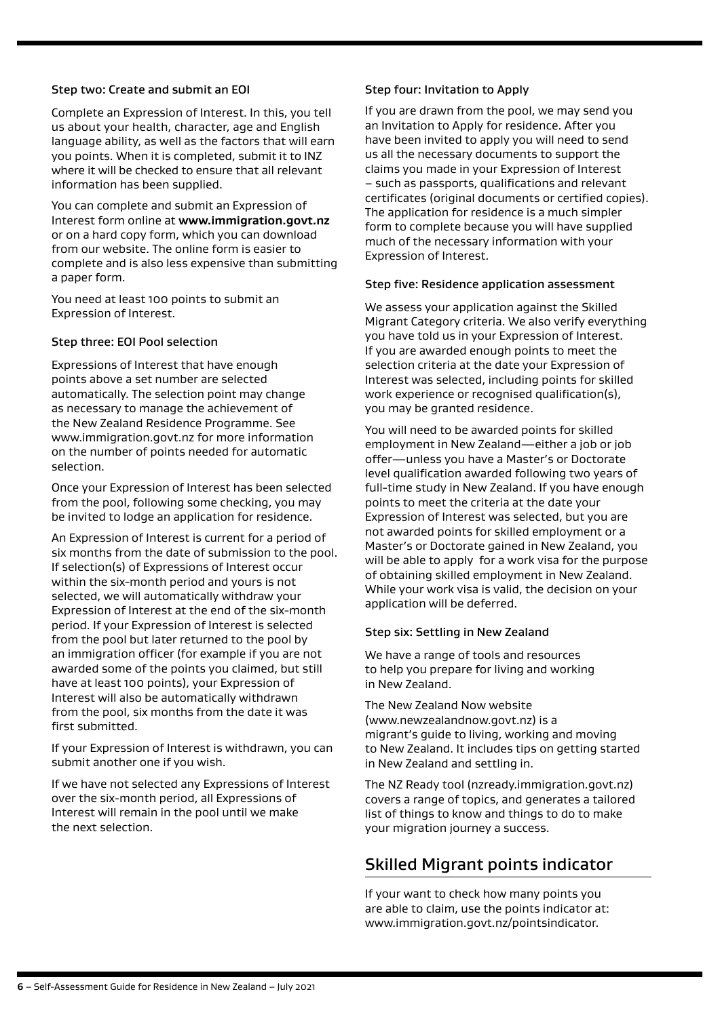#### <span id="page-5-0"></span>Step two: Create and submit an EOI

Complete an Expression of Interest. In this, you tell us about your health, character, age and English language ability, as well as the factors that will earn you points. When it is completed, submit it to INZ where it will be checked to ensure that all relevant information has been supplied.

You can complete and submit an Expression of Interest form online at **[www.immigration.govt.nz](https://www.immigration.govt.nzwww.immigration.govt.nz)** or on a hard copy form, which you can download from our website. The online form is easier to complete and is also less expensive than submitting a paper form.

You need at least 100 points to submit an Expression of Interest.

#### Step three: EOI Pool selection

Expressions of Interest that have enough points above a set number are selected automatically. The selection point may change as necessary to manage the achievement of the New Zealand Residence Programme. See www.immigration.govt.nz for more information on the number of points needed for automatic selection.

Once your Expression of Interest has been selected from the pool, following some checking, you may be invited to lodge an application for residence.

An Expression of Interest is current for a period of six months from the date of submission to the pool. If selection(s) of Expressions of Interest occur within the six-month period and yours is not selected, we will automatically withdraw your Expression of Interest at the end of the six-month period. If your Expression of Interest is selected from the pool but later returned to the pool by an immigration officer (for example if you are not awarded some of the points you claimed, but still have at least 100 points), your Expression of Interest will also be automatically withdrawn from the pool, six months from the date it was first submitted.

If your Expression of Interest is withdrawn, you can submit another one if you wish.

If we have not selected any Expressions of Interest over the six-month period, all Expressions of Interest will remain in the pool until we make the next selection.

#### Step four: Invitation to Apply

If you are drawn from the pool, we may send you an Invitation to Apply for residence. After you have been invited to apply you will need to send us all the necessary documents to support the claims you made in your Expression of Interest – such as passports, qualifications and relevant certificates (original documents or certified copies). The application for residence is a much simpler form to complete because you will have supplied much of the necessary information with your Expression of Interest.

#### Step five: Residence application assessment

We assess your application against the Skilled Migrant Category criteria. We also verify everything you have told us in your Expression of Interest. If you are awarded enough points to meet the selection criteria at the date your Expression of Interest was selected, including points for skilled work experience or recognised qualification(s), you may be granted residence.

You will need to be awarded points for skilled employment in New Zealand—either a job or job offer—unless you have a Master's or Doctorate level qualification awarded following two years of full-time study in New Zealand. If you have enough points to meet the criteria at the date your Expression of Interest was selected, but you are not awarded points for skilled employment or a Master's or Doctorate gained in New Zealand, you will be able to apply for a work visa for the purpose of obtaining skilled employment in New Zealand. While your work visa is valid, the decision on your application will be deferred.

### Step six: Settling in New Zealand

We have a range of tools and resources to help you prepare for living and working in New Zealand.

The New Zealand Now website (www.newzealandnow.govt.nz) is a migrant's guide to living, working and moving to New Zealand. It includes tips on getting started in New Zealand and settling in.

The NZ Ready tool (nzready.immigration.govt.nz) covers a range of topics, and generates a tailored list of things to know and things to do to make your migration journey a success.

# Skilled Migrant points indicator

If your want to check how many points you are able to claim, use the points indicator at: www.immigration.govt.nz/pointsindicator.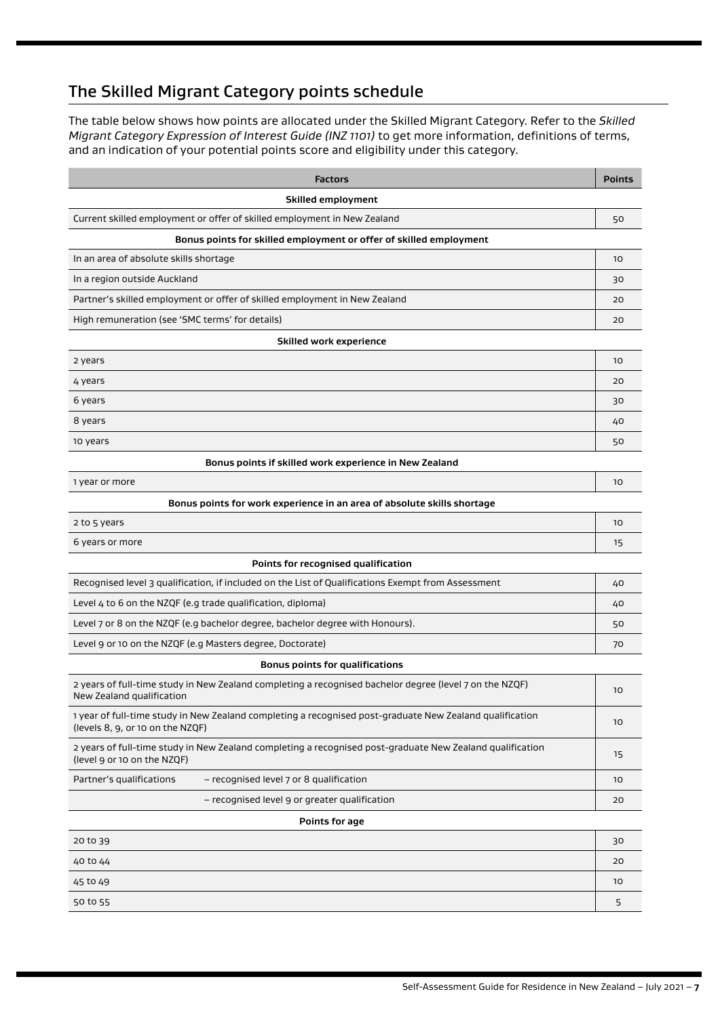# <span id="page-6-0"></span>The Skilled Migrant Category points schedule

The table below shows how points are allocated under the Skilled Migrant Category. Refer to the *Skilled Migrant Category Expression of Interest Guide (INZ 1101)* to get more information, definitions of terms, and an indication of your potential points score and eligibility under this category.

| <b>Factors</b>                                                                                                                               | <b>Points</b> |  |  |
|----------------------------------------------------------------------------------------------------------------------------------------------|---------------|--|--|
| Skilled employment                                                                                                                           |               |  |  |
| Current skilled employment or offer of skilled employment in New Zealand                                                                     | 50            |  |  |
| Bonus points for skilled employment or offer of skilled employment                                                                           |               |  |  |
| In an area of absolute skills shortage                                                                                                       | 10            |  |  |
| In a region outside Auckland                                                                                                                 | 30            |  |  |
| Partner's skilled employment or offer of skilled employment in New Zealand                                                                   | 20            |  |  |
| High remuneration (see 'SMC terms' for details)                                                                                              | 20            |  |  |
| <b>Skilled work experience</b>                                                                                                               |               |  |  |
| 2 years                                                                                                                                      | 10            |  |  |
| 4 years                                                                                                                                      | 20            |  |  |
| 6 years                                                                                                                                      | 30            |  |  |
| 8 years                                                                                                                                      | 40            |  |  |
| 10 years                                                                                                                                     | 50            |  |  |
| Bonus points if skilled work experience in New Zealand                                                                                       |               |  |  |
| 1 year or more                                                                                                                               | 10            |  |  |
| Bonus points for work experience in an area of absolute skills shortage                                                                      |               |  |  |
| 2 to 5 years                                                                                                                                 | 10            |  |  |
| 6 years or more                                                                                                                              | 15            |  |  |
| Points for recognised qualification                                                                                                          |               |  |  |
| Recognised level 3 qualification, if included on the List of Qualifications Exempt from Assessment                                           | 40            |  |  |
| Level 4 to 6 on the NZQF (e.g trade qualification, diploma)                                                                                  | 40            |  |  |
| Level 7 or 8 on the NZQF (e.g bachelor degree, bachelor degree with Honours).                                                                | 50            |  |  |
| Level 9 or 10 on the NZQF (e.g Masters degree, Doctorate)                                                                                    | 70            |  |  |
| <b>Bonus points for qualifications</b>                                                                                                       |               |  |  |
| 2 years of full-time study in New Zealand completing a recognised bachelor degree (level 7 on the NZQF)<br>New Zealand qualification         | 10            |  |  |
| 1 year of full-time study in New Zealand completing a recognised post-graduate New Zealand qualification<br>(levels 8, 9, or 10 on the NZOF) | 10            |  |  |
| 2 years of full-time study in New Zealand completing a recognised post-graduate New Zealand qualification<br>(level 9 or 10 on the NZQF)     | 15            |  |  |
| Partner's qualifications<br>- recognised level 7 or 8 qualification                                                                          | 10            |  |  |
| - recognised level 9 or greater qualification                                                                                                | 20            |  |  |
| Points for age                                                                                                                               |               |  |  |
| 20 to 39                                                                                                                                     | 30            |  |  |
| 40 to 44                                                                                                                                     | 20            |  |  |
| 45 to 49                                                                                                                                     | 10            |  |  |
| 50 to 55                                                                                                                                     | 5             |  |  |
|                                                                                                                                              |               |  |  |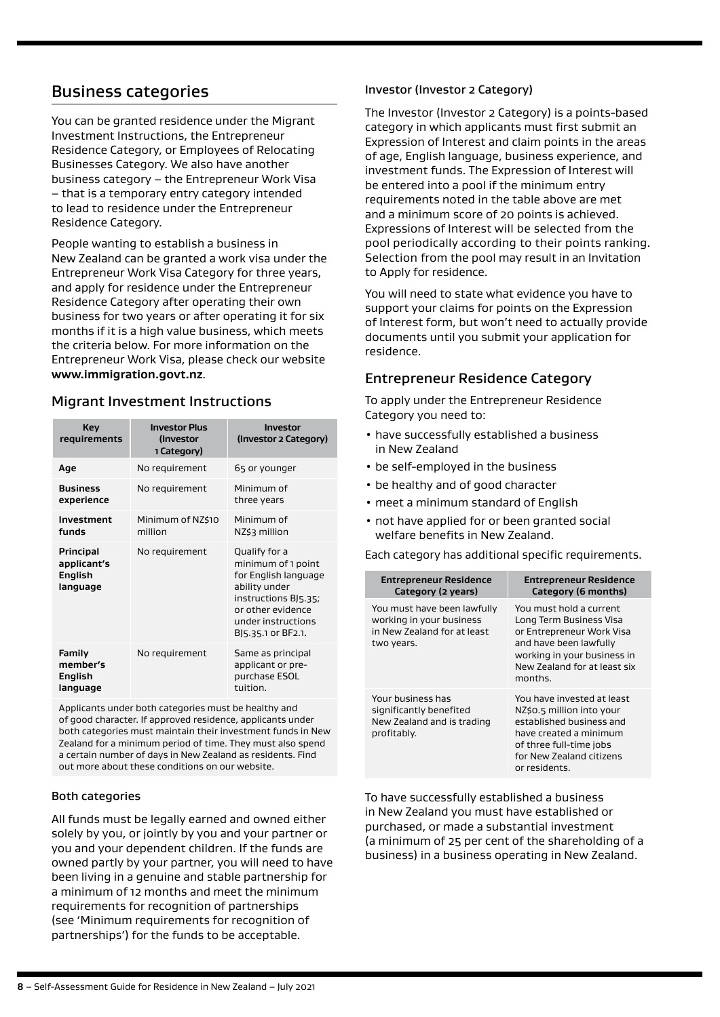### <span id="page-7-0"></span>Business categories

You can be granted residence under the Migrant Investment Instructions, the Entrepreneur Residence Category, or Employees of Relocating Businesses Category. We also have another business category – the Entrepreneur Work Visa – that is a temporary entry category intended to lead to residence under the Entrepreneur Residence Category.

People wanting to establish a business in New Zealand can be granted a work visa under the Entrepreneur Work Visa Category for three years, and apply for residence under the Entrepreneur Residence Category after operating their own business for two years or after operating it for six months if it is a high value business, which meets the criteria below. For more information on the Entrepreneur Work Visa, please check our website **[www.immigration.govt.nz](https://www.immigration.govt.nzwww.immigration.govt.nz)**.

### Migrant Investment Instructions

| <b>Key</b><br>requirements                             | <b>Investor Plus</b><br>(Investor<br>1 Category) | Investor<br>(Investor 2 Category)                                                                                                                                     |
|--------------------------------------------------------|--------------------------------------------------|-----------------------------------------------------------------------------------------------------------------------------------------------------------------------|
| Age                                                    | No requirement                                   | 65 or younger                                                                                                                                                         |
| <b>Business</b><br>experience                          | No requirement                                   | Minimum of<br>three years                                                                                                                                             |
| Investment<br>funds                                    | Minimum of NZ\$10<br>million                     | Minimum of<br>NZ\$3 million                                                                                                                                           |
| Principal<br>applicant's<br><b>English</b><br>language | No requirement                                   | Qualify for a<br>minimum of 1 point<br>for English language<br>ability under<br>instructions BJ5.35;<br>or other evidence<br>under instructions<br>BJ5.35.1 or BF2.1. |
| <b>Family</b><br>member's<br>English<br>language       | No requirement                                   | Same as principal<br>applicant or pre-<br>purchase ESOL<br>tuition.                                                                                                   |

Applicants under both categories must be healthy and of good character. If approved residence, applicants under both categories must maintain their investment funds in New Zealand for a minimum period of time. They must also spend a certain number of days in New Zealand as residents. Find out more about these conditions on our website.

#### Both categories

All funds must be legally earned and owned either solely by you, or jointly by you and your partner or you and your dependent children. If the funds are owned partly by your partner, you will need to have been living in a genuine and stable partnership for a minimum of 12 months and meet the minimum requirements for recognition of partnerships (see 'Minimum requirements for recognition of partnerships') for the funds to be acceptable.

#### Investor (Investor 2 Category)

The Investor (Investor 2 Category) is a points-based category in which applicants must first submit an Expression of Interest and claim points in the areas of age, English language, business experience, and investment funds. The Expression of Interest will be entered into a pool if the minimum entry requirements noted in the table above are met and a minimum score of 20 points is achieved. Expressions of Interest will be selected from the pool periodically according to their points ranking. Selection from the pool may result in an Invitation to Apply for residence.

You will need to state what evidence you have to support your claims for points on the Expression of Interest form, but won't need to actually provide documents until you submit your application for residence.

### Entrepreneur Residence Category

To apply under the Entrepreneur Residence Category you need to:

- have successfully established a business in New Zealand
- be self-employed in the business
- be healthy and of good character
- meet a minimum standard of English
- not have applied for or been granted social welfare benefits in New Zealand.

Each category has additional specific requirements.

| <b>Entrepreneur Residence</b><br>Category (2 years)                                                  | <b>Entrepreneur Residence</b><br>Category (6 months)                                                                                                                                  |
|------------------------------------------------------------------------------------------------------|---------------------------------------------------------------------------------------------------------------------------------------------------------------------------------------|
| You must have been lawfully<br>working in your business<br>in New Zealand for at least<br>two years. | You must hold a current<br>Long Term Business Visa<br>or Entrepreneur Work Visa<br>and have been lawfully<br>working in your business in<br>New Zealand for at least six<br>months.   |
| Your business has<br>significantly benefited<br>New Zealand and is trading<br>profitably.            | You have invested at least<br>NZ\$0.5 million into your<br>established business and<br>have created a minimum<br>of three full-time jobs<br>for New Zealand citizens<br>or residents. |

To have successfully established a business in New Zealand you must have established or purchased, or made a substantial investment (a minimum of 25 per cent of the shareholding of a business) in a business operating in New Zealand.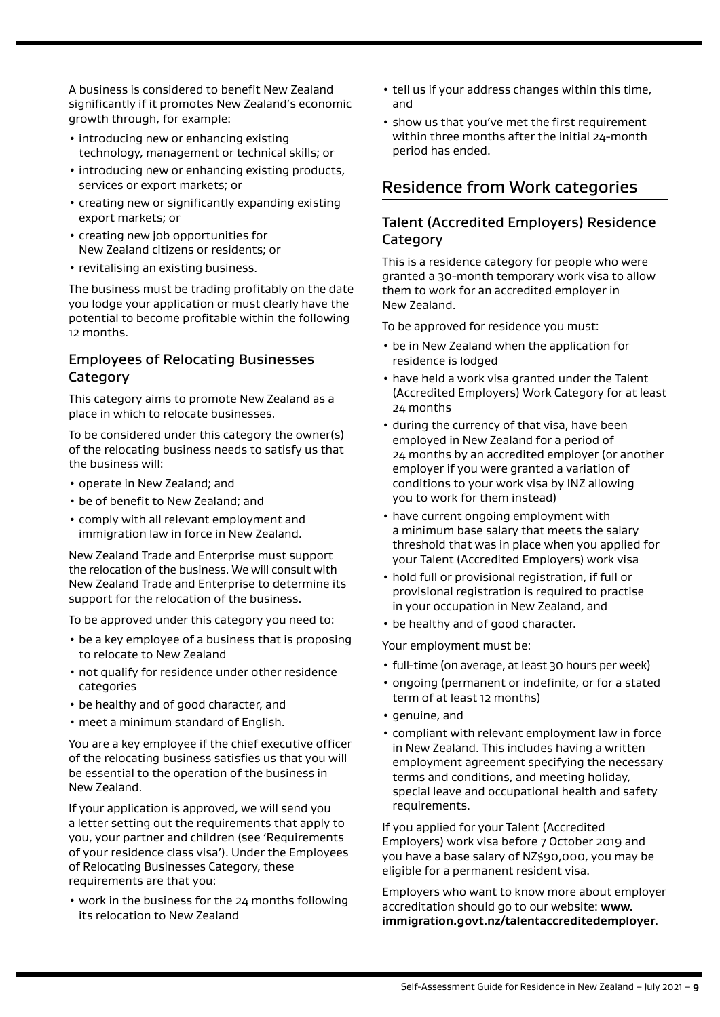<span id="page-8-0"></span>A business is considered to benefit New Zealand significantly if it promotes New Zealand's economic growth through, for example:

- introducing new or enhancing existing technology, management or technical skills; or
- introducing new or enhancing existing products, services or export markets; or
- creating new or significantly expanding existing export markets; or
- creating new job opportunities for New Zealand citizens or residents; or
- revitalising an existing business.

The business must be trading profitably on the date you lodge your application or must clearly have the potential to become profitable within the following 12 months.

### Employees of Relocating Businesses **Category**

This category aims to promote New Zealand as a place in which to relocate businesses.

To be considered under this category the owner(s) of the relocating business needs to satisfy us that the business will:

- operate in New Zealand; and
- be of benefit to New Zealand; and
- comply with all relevant employment and immigration law in force in New Zealand.

New Zealand Trade and Enterprise must support the relocation of the business. We will consult with New Zealand Trade and Enterprise to determine its support for the relocation of the business.

To be approved under this category you need to:

- be a key employee of a business that is proposing to relocate to New Zealand
- not qualify for residence under other residence categories
- be healthy and of good character, and
- meet a minimum standard of English.

You are a key employee if the chief executive officer of the relocating business satisfies us that you will be essential to the operation of the business in New Zealand.

If your application is approved, we will send you a letter setting out the requirements that apply to you, your partner and children (see 'Requirements of your residence class visa'). Under the Employees of Relocating Businesses Category, these requirements are that you:

• work in the business for the 24 months following its relocation to New Zealand

- tell us if your address changes within this time, and
- show us that you've met the first requirement within three months after the initial 24-month period has ended.

### Residence from Work categories

### Talent (Accredited Employers) Residence **Category**

This is a residence category for people who were granted a 30-month temporary work visa to allow them to work for an accredited employer in New Zealand.

To be approved for residence you must:

- be in New Zealand when the application for residence is lodged
- have held a work visa granted under the Talent (Accredited Employers) Work Category for at least 24 months
- during the currency of that visa, have been employed in New Zealand for a period of 24 months by an accredited employer (or another employer if you were granted a variation of conditions to your work visa by INZ allowing you to work for them instead)
- have current ongoing employment with a minimum base salary that meets the salary threshold that was in place when you applied for your Talent (Accredited Employers) work visa
- hold full or provisional registration, if full or provisional registration is required to practise in your occupation in New Zealand, and
- be healthy and of good character.

Your employment must be:

- full-time (on average, at least 30 hours per week)
- ongoing (permanent or indefinite, or for a stated term of at least 12 months)
- genuine, and
- compliant with relevant employment law in force in New Zealand. This includes having a written employment agreement specifying the necessary terms and conditions, and meeting holiday, special leave and occupational health and safety requirements.

If you applied for your Talent (Accredited Employers) work visa before 7 October 2019 and you have a base salary of NZ\$90,000, you may be eligible for a permanent resident visa.

Employers who want to know more about employer accreditation should go to our website: **www. immigration.govt.nz/talentaccreditedemployer**.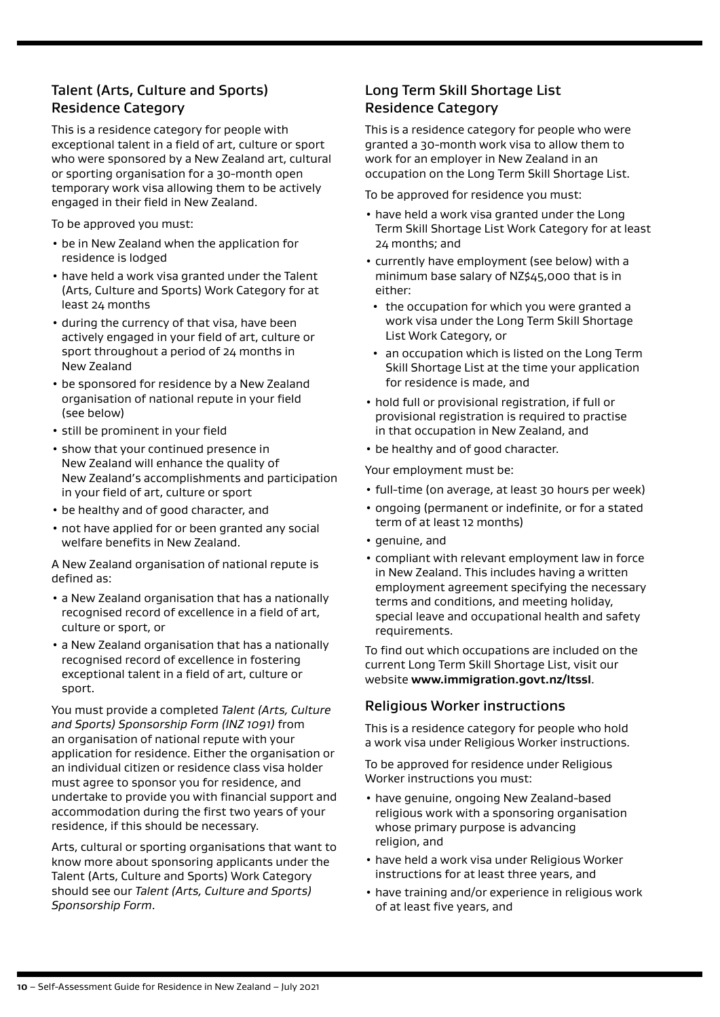### <span id="page-9-0"></span>Talent (Arts, Culture and Sports) Residence Category

This is a residence category for people with exceptional talent in a field of art, culture or sport who were sponsored by a New Zealand art, cultural or sporting organisation for a 30-month open temporary work visa allowing them to be actively engaged in their field in New Zealand.

To be approved you must:

- be in New Zealand when the application for residence is lodged
- have held a work visa granted under the Talent (Arts, Culture and Sports) Work Category for at least 24 months
- during the currency of that visa, have been actively engaged in your field of art, culture or sport throughout a period of 24 months in New Zealand
- be sponsored for residence by a New Zealand organisation of national repute in your field (see below)
- still be prominent in your field
- show that your continued presence in New Zealand will enhance the quality of New Zealand's accomplishments and participation in your field of art, culture or sport
- be healthy and of good character, and
- not have applied for or been granted any social welfare benefits in New Zealand.

A New Zealand organisation of national repute is defined as:

- a New Zealand organisation that has a nationally recognised record of excellence in a field of art, culture or sport, or
- a New Zealand organisation that has a nationally recognised record of excellence in fostering exceptional talent in a field of art, culture or sport.

You must provide a completed *Talent (Arts, Culture and Sports) Sponsorship Form (INZ 1091)* from an organisation of national repute with your application for residence. Either the organisation or an individual citizen or residence class visa holder must agree to sponsor you for residence, and undertake to provide you with financial support and accommodation during the first two years of your residence, if this should be necessary.

Arts, cultural or sporting organisations that want to know more about sponsoring applicants under the Talent (Arts, Culture and Sports) Work Category should see our *Talent (Arts, Culture and Sports) Sponsorship Form*.

### Long Term Skill Shortage List Residence Category

This is a residence category for people who were granted a 30-month work visa to allow them to work for an employer in New Zealand in an occupation on the Long Term Skill Shortage List.

To be approved for residence you must:

- have held a work visa granted under the Long Term Skill Shortage List Work Category for at least 24 months; and
- currently have employment (see below) with a minimum base salary of NZ\$45,000 that is in either:
- the occupation for which you were granted a work visa under the Long Term Skill Shortage List Work Category, or
- an occupation which is listed on the Long Term Skill Shortage List at the time your application for residence is made, and
- hold full or provisional registration, if full or provisional registration is required to practise in that occupation in New Zealand, and
- be healthy and of good character.

Your employment must be:

- full-time (on average, at least 30 hours per week)
- ongoing (permanent or indefinite, or for a stated term of at least 12 months)
- genuine, and
- compliant with relevant employment law in force in New Zealand. This includes having a written employment agreement specifying the necessary terms and conditions, and meeting holiday, special leave and occupational health and safety requirements.

To find out which occupations are included on the current Long Term Skill Shortage List, visit our website **[www.immigration.govt.nz/ltssl](https://www.immigration.govt.nzwww.immigration.govt.nz/ltssl)**.

### Religious Worker instructions

This is a residence category for people who hold a work visa under Religious Worker instructions.

To be approved for residence under Religious Worker instructions you must:

- have genuine, ongoing New Zealand-based religious work with a sponsoring organisation whose primary purpose is advancing religion, and
- have held a work visa under Religious Worker instructions for at least three years, and
- have training and/or experience in religious work of at least five years, and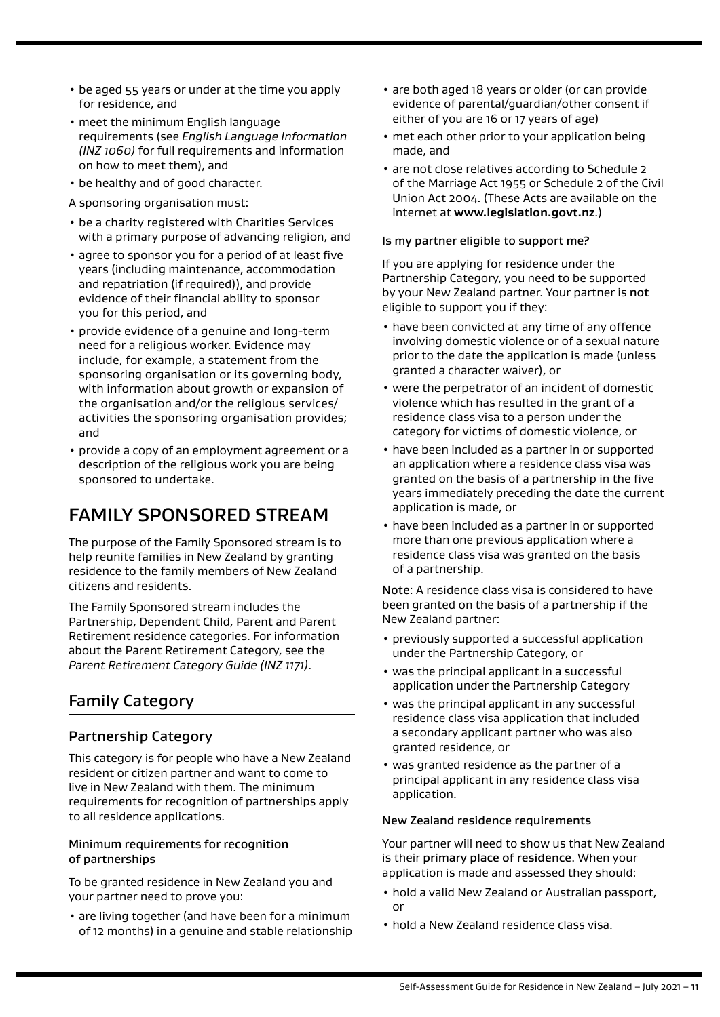- be aged 55 years or under at the time you apply for residence, and
- meet the minimum English language requirements (see *English Language Information (INZ 1060)* for full requirements and information on how to meet them), and
- be healthy and of good character.
- A sponsoring organisation must:
- be a charity registered with Charities Services with a primary purpose of advancing religion, and
- agree to sponsor you for a period of at least five years (including maintenance, accommodation and repatriation (if required)), and provide evidence of their financial ability to sponsor you for this period, and
- provide evidence of a genuine and long-term need for a religious worker. Evidence may include, for example, a statement from the sponsoring organisation or its governing body, with information about growth or expansion of the organisation and/or the religious services/ activities the sponsoring organisation provides; and
- provide a copy of an employment agreement or a description of the religious work you are being sponsored to undertake.

# FAMILY SPONSORED STREAM

The purpose of the Family Sponsored stream is to help reunite families in New Zealand by granting residence to the family members of New Zealand citizens and residents.

The Family Sponsored stream includes the Partnership, Dependent Child, Parent and Parent Retirement residence categories. For information about the Parent Retirement Category, see the *Parent Retirement Category Guide (INZ 1171)*.

### Family Category

### Partnership Category

This category is for people who have a New Zealand resident or citizen partner and want to come to live in New Zealand with them. The minimum requirements for recognition of partnerships apply to all residence applications.

#### Minimum requirements for recognition of partnerships

To be granted residence in New Zealand you and your partner need to prove you:

• are living together (and have been for a minimum of 12 months) in a genuine and stable relationship

- are both aged 18 years or older (or can provide evidence of parental/guardian/other consent if either of you are 16 or 17 years of age)
- met each other prior to your application being made, and
- are not close relatives according to Schedule 2 of the Marriage Act 1955 or Schedule 2 of the Civil Union Act 2004. (These Acts are available on the internet at **[www.legislation.govt.nz](https://www.immigration.govt.nzwww.legislation.govt.nz)**.)

#### Is my partner eligible to support me?

If you are applying for residence under the Partnership Category, you need to be supported by your New Zealand partner. Your partner is not eligible to support you if they:

- have been convicted at any time of any offence involving domestic violence or of a sexual nature prior to the date the application is made (unless granted a character waiver), or
- were the perpetrator of an incident of domestic violence which has resulted in the grant of a residence class visa to a person under the category for victims of domestic violence, or
- have been included as a partner in or supported an application where a residence class visa was granted on the basis of a partnership in the five years immediately preceding the date the current application is made, or
- have been included as a partner in or supported more than one previous application where a residence class visa was granted on the basis of a partnership.

Note: A residence class visa is considered to have been granted on the basis of a partnership if the New Zealand partner:

- previously supported a successful application under the Partnership Category, or
- was the principal applicant in a successful application under the Partnership Category
- was the principal applicant in any successful residence class visa application that included a secondary applicant partner who was also granted residence, or
- was granted residence as the partner of a principal applicant in any residence class visa application.

#### New Zealand residence requirements

Your partner will need to show us that New Zealand is their primary place of residence. When your application is made and assessed they should:

- hold a valid New Zealand or Australian passport, or
- hold a New Zealand residence class visa.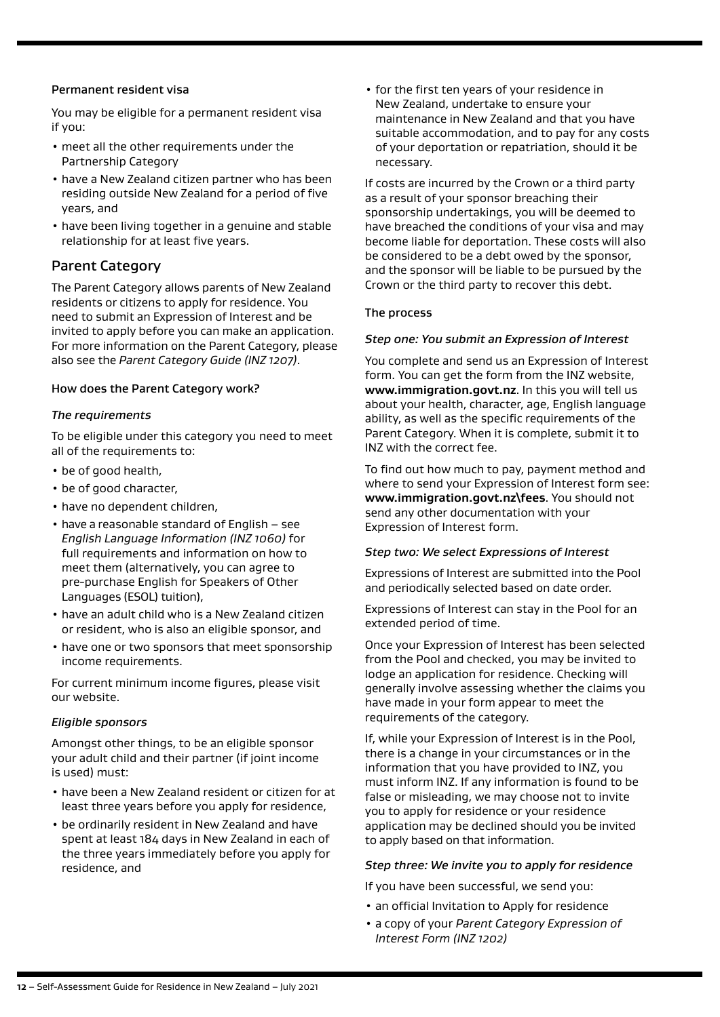#### <span id="page-11-0"></span>Permanent resident visa

You may be eligible for a permanent resident visa if you:

- meet all the other requirements under the Partnership Category
- have a New Zealand citizen partner who has been residing outside New Zealand for a period of five years, and
- have been living together in a genuine and stable relationship for at least five years.

### Parent Category

The Parent Category allows parents of New Zealand residents or citizens to apply for residence. You need to submit an Expression of Interest and be invited to apply before you can make an application. For more information on the Parent Category, please also see the *Parent Category Guide (INZ 1207)*.

#### How does the Parent Category work?

#### *The requirements*

To be eligible under this category you need to meet all of the requirements to:

- be of good health,
- be of good character,
- have no dependent children,
- have a reasonable standard of English see *English Language Information (INZ 1060)* for full requirements and information on how to meet them (alternatively, you can agree to pre-purchase English for Speakers of Other Languages (ESOL) tuition),
- have an adult child who is a New Zealand citizen or resident, who is also an eligible sponsor, and
- have one or two sponsors that meet sponsorship income requirements.

For current minimum income figures, please visit our website.

#### *Eligible sponsors*

Amongst other things, to be an eligible sponsor your adult child and their partner (if joint income is used) must:

- have been a New Zealand resident or citizen for at least three years before you apply for residence,
- be ordinarily resident in New Zealand and have spent at least 184 days in New Zealand in each of the three years immediately before you apply for residence, and

• for the first ten years of your residence in New Zealand, undertake to ensure your maintenance in New Zealand and that you have suitable accommodation, and to pay for any costs of your deportation or repatriation, should it be necessary.

If costs are incurred by the Crown or a third party as a result of your sponsor breaching their sponsorship undertakings, you will be deemed to have breached the conditions of your visa and may become liable for deportation. These costs will also be considered to be a debt owed by the sponsor, and the sponsor will be liable to be pursued by the Crown or the third party to recover this debt.

#### The process

#### *Step one: You submit an Expression of Interest*

You complete and send us an Expression of Interest form. You can get the form from the INZ website, **[www.immigration.govt.nz](https://www.immigration.govt.nzwww.immigration.govt.nz)**. In this you will tell us about your health, character, age, English language ability, as well as the specific requirements of the Parent Category. When it is complete, submit it to INZ with the correct fee.

To find out how much to pay, payment method and where to send your Expression of Interest form see: **[www.immigration.govt.nz\fees](http://www.immigration.govt.nz\fees)**. You should not send any other documentation with your Expression of Interest form.

#### *Step two: We select Expressions of Interest*

Expressions of Interest are submitted into the Pool and periodically selected based on date order.

Expressions of Interest can stay in the Pool for an extended period of time.

Once your Expression of Interest has been selected from the Pool and checked, you may be invited to lodge an application for residence. Checking will generally involve assessing whether the claims you have made in your form appear to meet the requirements of the category.

If, while your Expression of Interest is in the Pool, there is a change in your circumstances or in the information that you have provided to INZ, you must inform INZ. If any information is found to be false or misleading, we may choose not to invite you to apply for residence or your residence application may be declined should you be invited to apply based on that information.

#### *Step three: We invite you to apply for residence*

If you have been successful, we send you:

- an official Invitation to Apply for residence
- a copy of your *Parent Category Expression of Interest Form (INZ 1202)*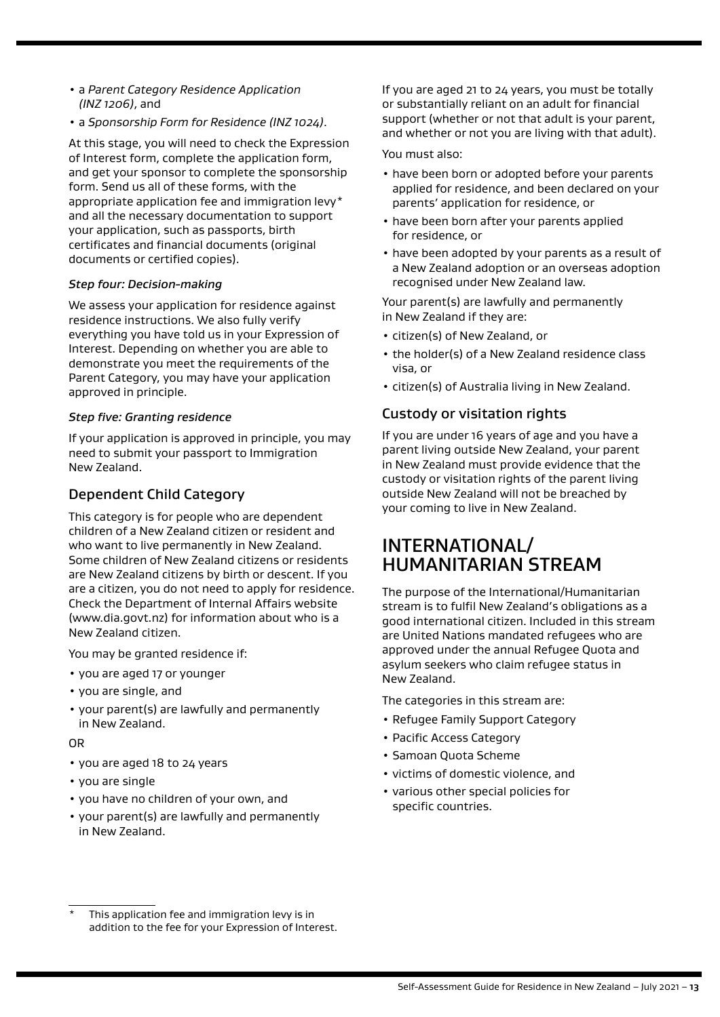- a *Parent Category Residence Application (INZ 1206)*, and
- a *Sponsorship Form for Residence (INZ 1024)*.

At this stage, you will need to check the Expression of Interest form, complete the application form, and get your sponsor to complete the sponsorship form. Send us all of these forms, with the appropriate application fee and immigration levy\* and all the necessary documentation to support your application, such as passports, birth certificates and financial documents (original documents or certified copies).

#### *Step four: Decision-making*

We assess your application for residence against residence instructions. We also fully verify everything you have told us in your Expression of Interest. Depending on whether you are able to demonstrate you meet the requirements of the Parent Category, you may have your application approved in principle.

#### *Step five: Granting residence*

If your application is approved in principle, you may need to submit your passport to Immigration New Zealand.

### Dependent Child Category

This category is for people who are dependent children of a New Zealand citizen or resident and who want to live permanently in New Zealand. Some children of New Zealand citizens or residents are New Zealand citizens by birth or descent. If you are a citizen, you do not need to apply for residence. Check the Department of Internal Affairs website (www.dia.govt.nz) for information about who is a New Zealand citizen.

You may be granted residence if:

- you are aged 17 or younger
- you are single, and
- your parent(s) are lawfully and permanently in New Zealand.

OR

- you are aged 18 to 24 years
- you are single
- you have no children of your own, and
- your parent(s) are lawfully and permanently in New Zealand.

If you are aged 21 to 24 years, you must be totally or substantially reliant on an adult for financial support (whether or not that adult is your parent, and whether or not you are living with that adult).

You must also:

- have been born or adopted before your parents applied for residence, and been declared on your parents' application for residence, or
- have been born after your parents applied for residence, or
- have been adopted by your parents as a result of a New Zealand adoption or an overseas adoption recognised under New Zealand law.

Your parent(s) are lawfully and permanently in New Zealand if they are:

- citizen(s) of New Zealand, or
- the holder(s) of a New Zealand residence class visa, or
- citizen(s) of Australia living in New Zealand.

### Custody or visitation rights

If you are under 16 years of age and you have a parent living outside New Zealand, your parent in New Zealand must provide evidence that the custody or visitation rights of the parent living outside New Zealand will not be breached by your coming to live in New Zealand.

# INTERNATIONAL/ HUMANITARIAN STREAM

The purpose of the International/Humanitarian stream is to fulfil New Zealand's obligations as a good international citizen. Included in this stream are United Nations mandated refugees who are approved under the annual Refugee Quota and asylum seekers who claim refugee status in New Zealand.

The categories in this stream are:

- Refugee Family Support Category
- Pacific Access Category
- Samoan Quota Scheme
- victims of domestic violence, and
- various other special policies for specific countries.

This application fee and immigration levy is in addition to the fee for your Expression of Interest.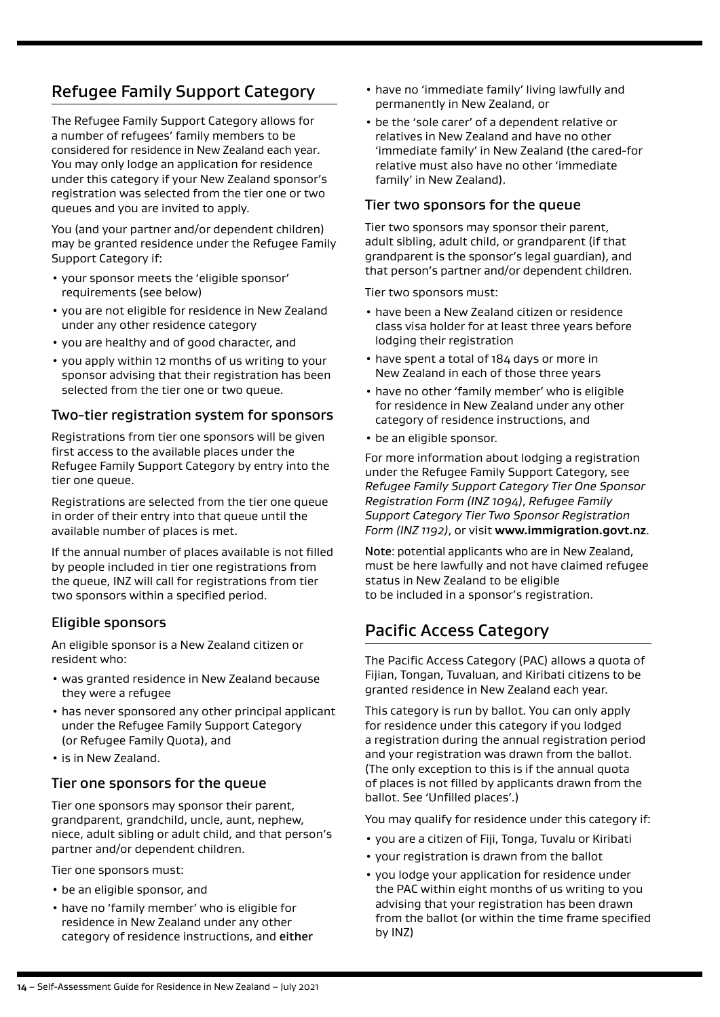# Refugee Family Support Category

The Refugee Family Support Category allows for a number of refugees' family members to be considered for residence in New Zealand each year. You may only lodge an application for residence under this category if your New Zealand sponsor's registration was selected from the tier one or two queues and you are invited to apply.

You (and your partner and/or dependent children) may be granted residence under the Refugee Family Support Category if:

- your sponsor meets the 'eligible sponsor' requirements (see below)
- you are not eligible for residence in New Zealand under any other residence category
- you are healthy and of good character, and
- you apply within 12 months of us writing to your sponsor advising that their registration has been selected from the tier one or two queue.

### Two-tier registration system for sponsors

Registrations from tier one sponsors will be given first access to the available places under the Refugee Family Support Category by entry into the tier one queue.

Registrations are selected from the tier one queue in order of their entry into that queue until the available number of places is met.

If the annual number of places available is not filled by people included in tier one registrations from the queue, INZ will call for registrations from tier two sponsors within a specified period.

### Eligible sponsors

An eligible sponsor is a New Zealand citizen or resident who:

- was granted residence in New Zealand because they were a refugee
- has never sponsored any other principal applicant under the Refugee Family Support Category (or Refugee Family Quota), and
- is in New Zealand.

### Tier one sponsors for the queue

Tier one sponsors may sponsor their parent, grandparent, grandchild, uncle, aunt, nephew, niece, adult sibling or adult child, and that person's partner and/or dependent children.

Tier one sponsors must:

- be an eligible sponsor, and
- have no 'family member' who is eligible for residence in New Zealand under any other category of residence instructions, and either
- have no 'immediate family' living lawfully and permanently in New Zealand, or
- be the 'sole carer' of a dependent relative or relatives in New Zealand and have no other 'immediate family' in New Zealand (the cared-for relative must also have no other 'immediate family' in New Zealand).

#### Tier two sponsors for the queue

Tier two sponsors may sponsor their parent, adult sibling, adult child, or grandparent (if that grandparent is the sponsor's legal guardian), and that person's partner and/or dependent children.

Tier two sponsors must:

- have been a New Zealand citizen or residence class visa holder for at least three years before lodging their registration
- have spent a total of 184 days or more in New Zealand in each of those three years
- have no other 'family member' who is eligible for residence in New Zealand under any other category of residence instructions, and
- be an eligible sponsor.

For more information about lodging a registration under the Refugee Family Support Category, see *Refugee Family Support Category Tier One Sponsor Registration Form (INZ 1094)*, *Refugee Family Support Category Tier Two Sponsor Registration Form (INZ 1192)*, or visit **[www.immigration.govt.nz](https://www.immigration.govt.nzwww.immigration.govt.nz)**.

Note: potential applicants who are in New Zealand, must be here lawfully and not have claimed refugee status in New Zealand to be eligible to be included in a sponsor's registration.

### Pacific Access Category

The Pacific Access Category (PAC) allows a quota of Fijian, Tongan, Tuvaluan, and Kiribati citizens to be granted residence in New Zealand each year.

This category is run by ballot. You can only apply for residence under this category if you lodged a registration during the annual registration period and your registration was drawn from the ballot. (The only exception to this is if the annual quota of places is not filled by applicants drawn from the ballot. See 'Unfilled places'.)

You may qualify for residence under this category if:

- you are a citizen of Fiji, Tonga, Tuvalu or Kiribati
- your registration is drawn from the ballot
- you lodge your application for residence under the PAC within eight months of us writing to you advising that your registration has been drawn from the ballot (or within the time frame specified by INZ)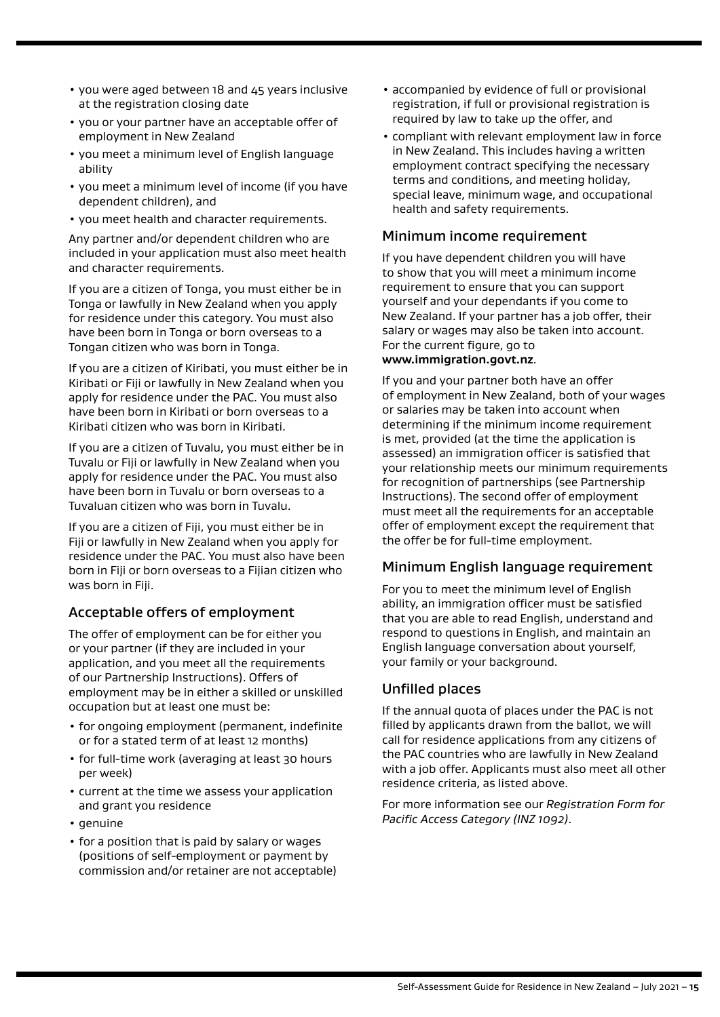- <span id="page-14-0"></span>• you were aged between 18 and 45 years inclusive at the registration closing date
- you or your partner have an acceptable offer of employment in New Zealand
- you meet a minimum level of English language ability
- you meet a minimum level of income (if you have dependent children), and
- you meet health and character requirements.

Any partner and/or dependent children who are included in your application must also meet health and character requirements.

If you are a citizen of Tonga, you must either be in Tonga or lawfully in New Zealand when you apply for residence under this category. You must also have been born in Tonga or born overseas to a Tongan citizen who was born in Tonga.

If you are a citizen of Kiribati, you must either be in Kiribati or Fiji or lawfully in New Zealand when you apply for residence under the PAC. You must also have been born in Kiribati or born overseas to a Kiribati citizen who was born in Kiribati.

If you are a citizen of Tuvalu, you must either be in Tuvalu or Fiji or lawfully in New Zealand when you apply for residence under the PAC. You must also have been born in Tuvalu or born overseas to a Tuvaluan citizen who was born in Tuvalu.

If you are a citizen of Fiji, you must either be in Fiji or lawfully in New Zealand when you apply for residence under the PAC. You must also have been born in Fiji or born overseas to a Fijian citizen who was born in Fiji.

### Acceptable offers of employment

The offer of employment can be for either you or your partner (if they are included in your application, and you meet all the requirements of our Partnership Instructions). Offers of employment may be in either a skilled or unskilled occupation but at least one must be:

- for ongoing employment (permanent, indefinite or for a stated term of at least 12 months)
- for full-time work (averaging at least 30 hours per week)
- current at the time we assess your application and grant you residence
- genuine
- for a position that is paid by salary or wages (positions of self-employment or payment by commission and/or retainer are not acceptable)
- accompanied by evidence of full or provisional registration, if full or provisional registration is required by law to take up the offer, and
- compliant with relevant employment law in force in New Zealand. This includes having a written employment contract specifying the necessary terms and conditions, and meeting holiday, special leave, minimum wage, and occupational health and safety requirements.

### Minimum income requirement

If you have dependent children you will have to show that you will meet a minimum income requirement to ensure that you can support yourself and your dependants if you come to New Zealand. If your partner has a job offer, their salary or wages may also be taken into account. For the current figure, go to **[www.immigration.govt.nz](https://www.immigration.govt.nzwww.immigration.govt.nz)**.

If you and your partner both have an offer of employment in New Zealand, both of your wages or salaries may be taken into account when determining if the minimum income requirement is met, provided (at the time the application is assessed) an immigration officer is satisfied that your relationship meets our minimum requirements for recognition of partnerships (see Partnership Instructions). The second offer of employment must meet all the requirements for an acceptable offer of employment except the requirement that the offer be for full-time employment.

### Minimum English language requirement

For you to meet the minimum level of English ability, an immigration officer must be satisfied that you are able to read English, understand and respond to questions in English, and maintain an English language conversation about yourself, your family or your background.

### Unfilled places

If the annual quota of places under the PAC is not filled by applicants drawn from the ballot, we will call for residence applications from any citizens of the PAC countries who are lawfully in New Zealand with a job offer. Applicants must also meet all other residence criteria, as listed above.

For more information see our *Registration Form for Pacific Access Category (INZ 1092)*.